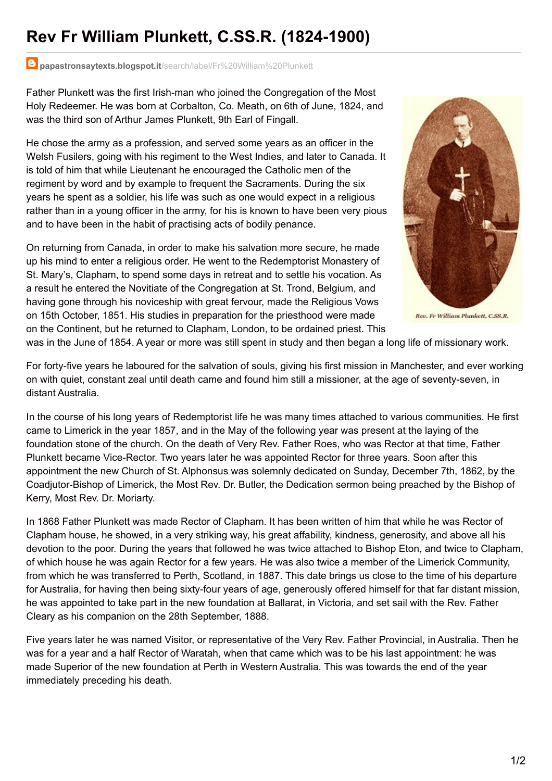## **Rev Fr William Plunkett, C.SS.R. (1824-1900)**

## **papastronsaytexts.blogspot.it**[/search/label/Fr%20William%20Plunkett](http://papastronsaytexts.blogspot.it/search/label/Fr William Plunkett)

Father Plunkett was the first Irish-man who joined the Congregation of the Most Holy Redeemer. He was born at Corbalton, Co. Meath, on 6th of June, 1824, and was the third son of Arthur James Plunkett, 9th Earl of Fingall.

He chose the army as a profession, and served some years as an officer in the Welsh Fusilers, going with his regiment to the West Indies, and later to Canada. It is told of him that while Lieutenant he encouraged the Catholic men of the regiment by word and by example to frequent the Sacraments. During the six years he spent as a soldier, his life was such as one would expect in a religious rather than in a young officer in the army, for his is known to have been very pious and to have been in the habit of practising acts of bodily penance.

On returning from Canada, in order to make his salvation more secure, he made up his mind to enter a religious order. He went to the Redemptorist Monastery of St. Mary's, Clapham, to spend some days in retreat and to settle his vocation. As a result he entered the Novitiate of the Congregation at St. Trond, Belgium, and having gone through his noviceship with great fervour, made the Religious Vows on 15th October, 1851. His studies in preparation for the priesthood were made on the Continent, but he returned to Clapham, London, to be ordained priest. This



Rev. Fr William Plunkett, C.SS.R.

was in the June of 1854. A year or more was still spent in study and then began a long life of missionary work.

For forty-five years he laboured for the salvation of souls, giving his first mission in Manchester, and ever working on with quiet, constant zeal until death came and found him still a missioner, at the age of seventy-seven, in distant Australia.

In the course of his long years of Redemptorist life he was many times attached to various communities. He first came to Limerick in the year 1857, and in the May of the following year was present at the laying of the foundation stone of the church. On the death of Very Rev. Father Roes, who was Rector at that time, Father Plunkett became Vice-Rector. Two years later he was appointed Rector for three years. Soon after this appointment the new Church of St. Alphonsus was solemnly dedicated on Sunday, December 7th, 1862, by the Coadjutor-Bishop of Limerick, the Most Rev. Dr. Butler, the Dedication sermon being preached by the Bishop of Kerry, Most Rev. Dr. Moriarty.

In 1868 Father Plunkett was made Rector of Clapham. It has been written of him that while he was Rector of Clapham house, he showed, in a very striking way, his great affability, kindness, generosity, and above all his devotion to the poor. During the years that followed he was twice attached to Bishop Eton, and twice to Clapham, of which house he was again Rector for a few years. He was also twice a member of the Limerick Community, from which he was transferred to Perth, Scotland, in 1887. This date brings us close to the time of his departure for Australia, for having then being sixty-four years of age, generously offered himself for that far distant mission, he was appointed to take part in the new foundation at Ballarat, in Victoria, and set sail with the Rev. Father Cleary as his companion on the 28th September, 1888.

Five years later he was named Visitor, or representative of the Very Rev. Father Provincial, in Australia. Then he was for a year and a half Rector of Waratah, when that came which was to be his last appointment: he was made Superior of the new foundation at Perth in Western Australia. This was towards the end of the year immediately preceding his death.